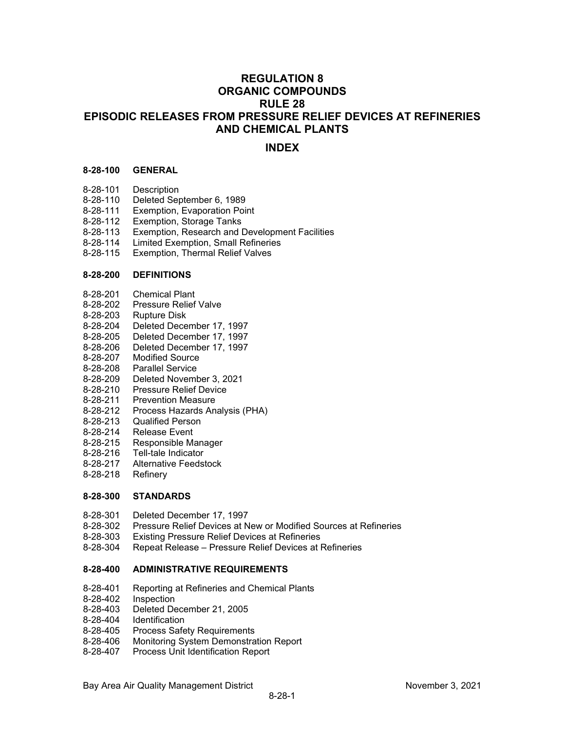# **REGULATION 8 ORGANIC COMPOUNDS RULE 28 EPISODIC RELEASES FROM PRESSURE RELIEF DEVICES AT REFINERIES AND CHEMICAL PLANTS**

# **INDEX**

## **8-28-100 GENERAL**

- 
- 8-28-101 Description 8-28-110 Deleted September 6, 1989<br>8-28-111 Exemption, Evaporation Poi
- Exemption, Evaporation Point
- 8-28-112 Exemption, Storage Tanks
- 8-28-113 Exemption, Research and Development Facilities<br>8-28-114 Limited Exemption, Small Refineries
- Limited Exemption, Small Refineries
- 8-28-115 Exemption, Thermal Relief Valves

#### **8-28-200 DEFINITIONS**

- 8-28-201 Chemical Plant
- 8-28-202 Pressure Relief Valve<br>8-28-203 Rupture Disk
- 8-28-203 Rupture Disk<br>8-28-204 Deleted Dece
- 8-28-204 Deleted December 17, 1997
- Deleted December 17, 1997
- 8-28-206 Deleted December 17, 1997
- 8-28-207 Modified Source
- 8-28-208 Parallel Service
- 8-28-209 Deleted November 3, 2021
- 8-28-210 Pressure Relief Device
- 8-28-211 Prevention Measure
- 8-28-212 Process Hazards Analysis (PHA)
- 8-28-213 Qualified Person
- 8-28-214 Release Event<br>8-28-215 Responsible M
- Responsible Manager
- 8-28-216 Tell-tale Indicator
- 8-28-217 Alternative Feedstock
- 8-28-218 Refinery

## **8-28-300 STANDARDS**

- 8-28-301 Deleted December 17, 1997<br>8-28-302 Pressure Relief Devices at N
- 8-28-302 Pressure Relief Devices at New or Modified Sources at Refineries
- 8-28-303 Existing Pressure Relief Devices at Refineries
- Repeat Release Pressure Relief Devices at Refineries

## **8-28-400 ADMINISTRATIVE REQUIREMENTS**

- 8-28-401 Reporting at Refineries and Chemical Plants
- 
- 8-28-402 Inspection<br>8-28-403 Deleted De 8-28-403 Deleted December 21, 2005<br>8-28-404 Identification
- **Identification**
- 8-28-405 Process Safety Requirements
- 8-28-406 Monitoring System Demonstration Report
- 8-28-407 Process Unit Identification Report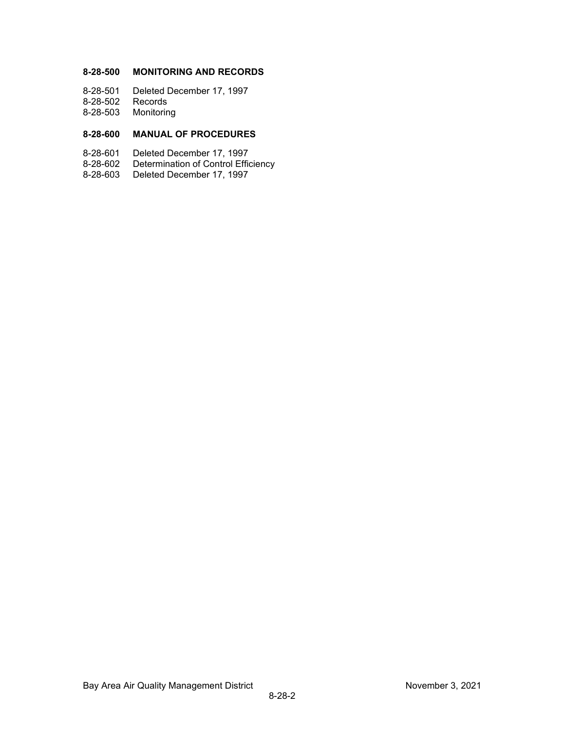# **8-28-500 MONITORING AND RECORDS**

8-28-501 Deleted December 17, 1997

- 8-28-502 Records
- 8-28-503 Monitoring

# **8-28-600 MANUAL OF PROCEDURES**

- 8-28-601 Deleted December 17, 1997
- Determination of Control Efficiency
- 8-28-603 Deleted December 17, 1997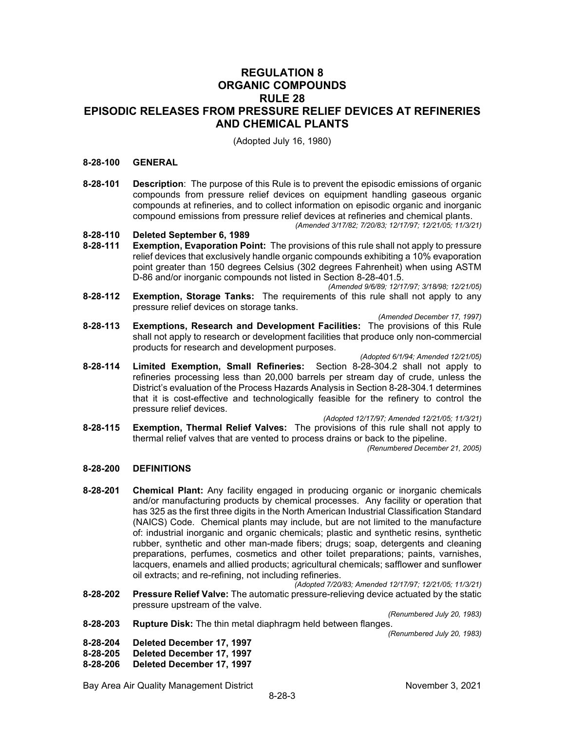# **REGULATION 8 ORGANIC COMPOUNDS RULE 28 EPISODIC RELEASES FROM PRESSURE RELIEF DEVICES AT REFINERIES AND CHEMICAL PLANTS**

(Adopted July 16, 1980)

## **8-28-100 GENERAL**

- **8-28-101 Description**: The purpose of this Rule is to prevent the episodic emissions of organic compounds from pressure relief devices on equipment handling gaseous organic compounds at refineries, and to collect information on episodic organic and inorganic compound emissions from pressure relief devices at refineries and chemical plants. *(Amended 3/17/82; 7/20/83; 12/17/97; 12/21/05; 11/3/21)*
- **8-28-110 Deleted September 6, 1989**

pressure relief devices.

- **Exemption, Evaporation Point:** The provisions of this rule shall not apply to pressure relief devices that exclusively handle organic compounds exhibiting a 10% evaporation point greater than 150 degrees Celsius (302 degrees Fahrenheit) when using ASTM D-86 and/or inorganic compounds not listed in Section 8-28-401.5.
- *(Amended 9/6/89; 12/17/97; 3/18/98; 12/21/05)* **8-28-112 Exemption, Storage Tanks:** The requirements of this rule shall not apply to any pressure relief devices on storage tanks.
- *(Amended December 17, 1997)* **8-28-113 Exemptions, Research and Development Facilities:** The provisions of this Rule shall not apply to research or development facilities that produce only non-commercial products for research and development purposes.

*(Adopted 6/1/94; Amended 12/21/05)* **8-28-114 Limited Exemption, Small Refineries:** Section 8-28-304.2 shall not apply to refineries processing less than 20,000 barrels per stream day of crude, unless the District's evaluation of the Process Hazards Analysis in Section 8-28-304.1 determines that it is cost-effective and technologically feasible for the refinery to control the

*(Adopted 12/17/97; Amended 12/21/05; 11/3/21)*

**8-28-115 Exemption, Thermal Relief Valves:** The provisions of this rule shall not apply to thermal relief valves that are vented to process drains or back to the pipeline. *(Renumbered December 21, 2005)*

## **8-28-200 DEFINITIONS**

**8-28-201 Chemical Plant:** Any facility engaged in producing organic or inorganic chemicals and/or manufacturing products by chemical processes. Any facility or operation that has 325 as the first three digits in the North American Industrial Classification Standard (NAICS) Code. Chemical plants may include, but are not limited to the manufacture of: industrial inorganic and organic chemicals; plastic and synthetic resins, synthetic rubber, synthetic and other man-made fibers; drugs; soap, detergents and cleaning preparations, perfumes, cosmetics and other toilet preparations; paints, varnishes, lacquers, enamels and allied products; agricultural chemicals; safflower and sunflower oil extracts; and re-refining, not including refineries.

*(Adopted 7/20/83; Amended 12/17/97; 12/21/05; 11/3/21)*

**8-28-202 Pressure Relief Valve:** The automatic pressure-relieving device actuated by the static pressure upstream of the valve.

*(Renumbered July 20, 1983)*

**8-28-203 Rupture Disk:** The thin metal diaphragm held between flanges.

*(Renumbered July 20, 1983)*

- **8-28-204 Deleted December 17, 1997**
- **8-28-205 Deleted December 17, 1997**
- **8-28-206 Deleted December 17, 1997**

Bay Area Air Quality Management District November 3, 2021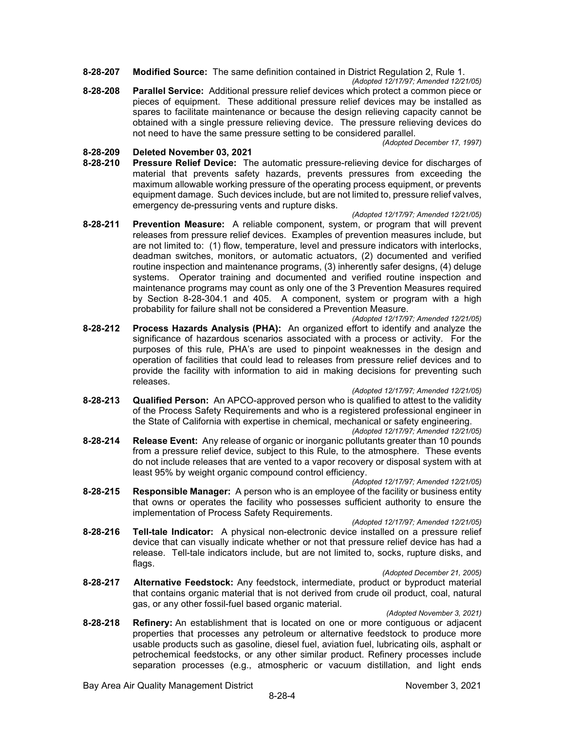- **8-28-207 Modified Source:** The same definition contained in District Regulation 2, Rule 1.
- *(Adopted 12/17/97; Amended 12/21/05)* **8-28-208 Parallel Service:** Additional pressure relief devices which protect a common piece or pieces of equipment. These additional pressure relief devices may be installed as spares to facilitate maintenance or because the design relieving capacity cannot be obtained with a single pressure relieving device. The pressure relieving devices do not need to have the same pressure setting to be considered parallel.

*(Adopted December 17, 1997)*

# **8-28-209 Deleted November 03, 2021**

**8-28-210 Pressure Relief Device:** The automatic pressure-relieving device for discharges of material that prevents safety hazards, prevents pressures from exceeding the maximum allowable working pressure of the operating process equipment, or prevents equipment damage. Such devices include, but are not limited to, pressure relief valves, emergency de-pressuring vents and rupture disks.

#### *(Adopted 12/17/97; Amended 12/21/05)*

**8-28-211 Prevention Measure:** A reliable component, system, or program that will prevent releases from pressure relief devices. Examples of prevention measures include, but are not limited to: (1) flow, temperature, level and pressure indicators with interlocks, deadman switches, monitors, or automatic actuators, (2) documented and verified routine inspection and maintenance programs, (3) inherently safer designs, (4) deluge systems. Operator training and documented and verified routine inspection and maintenance programs may count as only one of the 3 Prevention Measures required by Section 8-28-304.1 and 405. A component, system or program with a high probability for failure shall not be considered a Prevention Measure.

#### *(Adopted 12/17/97; Amended 12/21/05)*

**8-28-212 Process Hazards Analysis (PHA):** An organized effort to identify and analyze the significance of hazardous scenarios associated with a process or activity. For the purposes of this rule, PHA's are used to pinpoint weaknesses in the design and operation of facilities that could lead to releases from pressure relief devices and to provide the facility with information to aid in making decisions for preventing such releases.

#### *(Adopted 12/17/97; Amended 12/21/05)*

- **8-28-213 Qualified Person:** An APCO-approved person who is qualified to attest to the validity of the Process Safety Requirements and who is a registered professional engineer in the State of California with expertise in chemical, mechanical or safety engineering. *(Adopted 12/17/97; Amended 12/21/05)*
- **8-28-214 Release Event:** Any release of organic or inorganic pollutants greater than 10 pounds from a pressure relief device, subject to this Rule, to the atmosphere. These events do not include releases that are vented to a vapor recovery or disposal system with at least 95% by weight organic compound control efficiency.

*(Adopted 12/17/97; Amended 12/21/05)*

**8-28-215 Responsible Manager:** A person who is an employee of the facility or business entity that owns or operates the facility who possesses sufficient authority to ensure the implementation of Process Safety Requirements.

### *(Adopted 12/17/97; Amended 12/21/05)*

**8-28-216 Tell-tale Indicator:** A physical non-electronic device installed on a pressure relief device that can visually indicate whether or not that pressure relief device has had a release. Tell-tale indicators include, but are not limited to, socks, rupture disks, and flags.

#### *(Adopted December 21, 2005)*

**8-28-217 Alternative Feedstock:** Any feedstock, intermediate, product or byproduct material that contains organic material that is not derived from crude oil product, coal, natural gas, or any other fossil-fuel based organic material.

#### *(Adopted November 3, 2021)*

**8-28-218 Refinery:** An establishment that is located on one or more contiguous or adjacent properties that processes any petroleum or alternative feedstock to produce more usable products such as gasoline, diesel fuel, aviation fuel, lubricating oils, asphalt or petrochemical feedstocks, or any other similar product. Refinery processes include separation processes (e.g., atmospheric or vacuum distillation, and light ends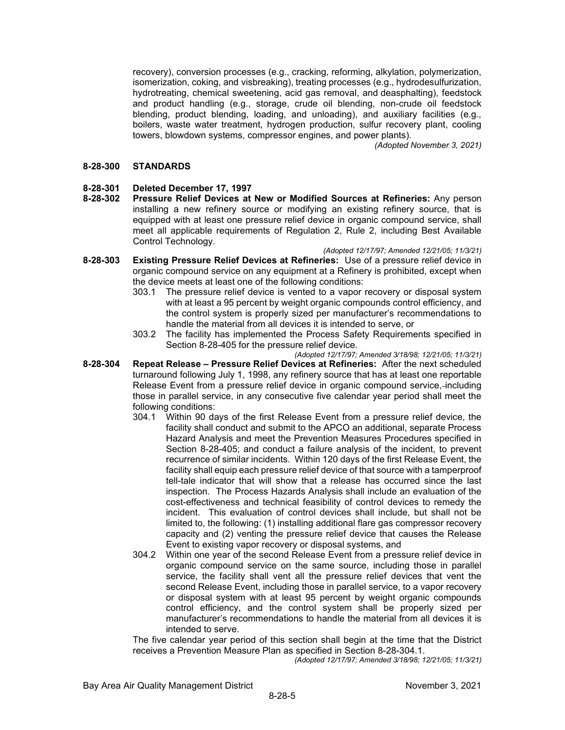recovery), conversion processes (e.g., cracking, reforming, alkylation, polymerization, isomerization, coking, and visbreaking), treating processes (e.g., hydrodesulfurization, hydrotreating, chemical sweetening, acid gas removal, and deasphalting), feedstock and product handling (e.g., storage, crude oil blending, non-crude oil feedstock blending, product blending, loading, and unloading), and auxiliary facilities (e.g., boilers, waste water treatment, hydrogen production, sulfur recovery plant, cooling towers, blowdown systems, compressor engines, and power plants).

*(Adopted November 3, 2021)*

## **8-28-300 STANDARDS**

# **8-28-301 Deleted December 17, 1997**

**8-28-302 Pressure Relief Devices at New or Modified Sources at Refineries:** Any person installing a new refinery source or modifying an existing refinery source, that is equipped with at least one pressure relief device in organic compound service, shall meet all applicable requirements of Regulation 2, Rule 2, including Best Available Control Technology.

*(Adopted 12/17/97; Amended 12/21/05; 11/3/21)*

- **8-28-303 Existing Pressure Relief Devices at Refineries:** Use of a pressure relief device in organic compound service on any equipment at a Refinery is prohibited, except when the device meets at least one of the following conditions:
	- 303.1 The pressure relief device is vented to a vapor recovery or disposal system with at least a 95 percent by weight organic compounds control efficiency, and the control system is properly sized per manufacturer's recommendations to handle the material from all devices it is intended to serve, or
	- 303.2 The facility has implemented the Process Safety Requirements specified in Section 8-28-405 for the pressure relief device.

*(Adopted 12/17/97; Amended 3/18/98; 12/21/05; 11/3/21)*

- **8-28-304 Repeat Release – Pressure Relief Devices at Refineries:** After the next scheduled turnaround following July 1, 1998, any refinery source that has at least one reportable Release Event from a pressure relief device in organic compound service, including those in parallel service, in any consecutive five calendar year period shall meet the following conditions:
	- 304.1 Within 90 days of the first Release Event from a pressure relief device, the facility shall conduct and submit to the APCO an additional, separate Process Hazard Analysis and meet the Prevention Measures Procedures specified in Section 8-28-405; and conduct a failure analysis of the incident, to prevent recurrence of similar incidents. Within 120 days of the first Release Event, the facility shall equip each pressure relief device of that source with a tamperproof tell-tale indicator that will show that a release has occurred since the last inspection. The Process Hazards Analysis shall include an evaluation of the cost-effectiveness and technical feasibility of control devices to remedy the incident. This evaluation of control devices shall include, but shall not be limited to, the following: (1) installing additional flare gas compressor recovery capacity and (2) venting the pressure relief device that causes the Release Event to existing vapor recovery or disposal systems, and
	- 304.2 Within one year of the second Release Event from a pressure relief device in organic compound service on the same source, including those in parallel service, the facility shall vent all the pressure relief devices that vent the second Release Event, including those in parallel service, to a vapor recovery or disposal system with at least 95 percent by weight organic compounds control efficiency, and the control system shall be properly sized per manufacturer's recommendations to handle the material from all devices it is intended to serve.

The five calendar year period of this section shall begin at the time that the District receives a Prevention Measure Plan as specified in Section 8-28-304.1.

*(Adopted 12/17/97; Amended 3/18/98; 12/21/05; 11/3/21)*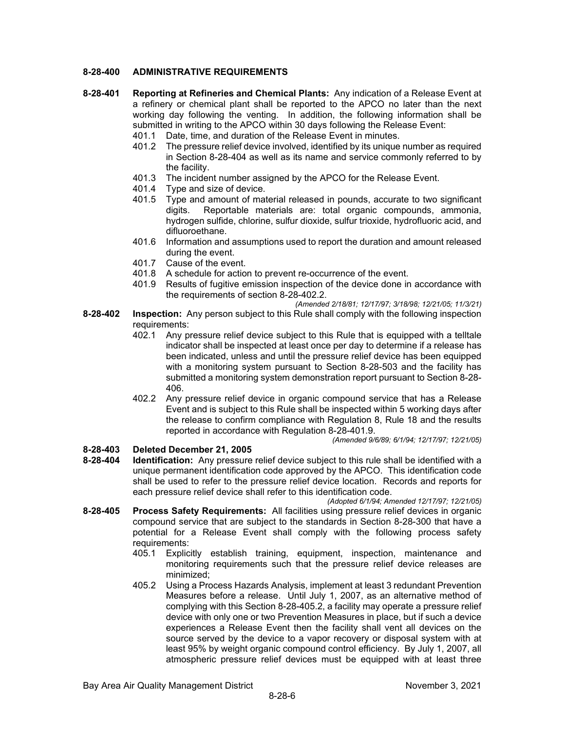## **8-28-400 ADMINISTRATIVE REQUIREMENTS**

- **8-28-401 Reporting at Refineries and Chemical Plants:** Any indication of a Release Event at a refinery or chemical plant shall be reported to the APCO no later than the next working day following the venting. In addition, the following information shall be submitted in writing to the APCO within 30 days following the Release Event:
	- 401.1 Date, time, and duration of the Release Event in minutes.
	- 401.2 The pressure relief device involved, identified by its unique number as required in Section 8-28-404 as well as its name and service commonly referred to by the facility.
	- 401.3 The incident number assigned by the APCO for the Release Event.
	- 401.4 Type and size of device.
	- 401.5 Type and amount of material released in pounds, accurate to two significant digits. Reportable materials are: total organic compounds, ammonia, hydrogen sulfide, chlorine, sulfur dioxide, sulfur trioxide, hydrofluoric acid, and difluoroethane.
	- 401.6 Information and assumptions used to report the duration and amount released during the event.
	- 401.7 Cause of the event.
	- 401.8 A schedule for action to prevent re-occurrence of the event.
	- 401.9 Results of fugitive emission inspection of the device done in accordance with the requirements of section 8-28-402.2.

*(Amended 2/18/81; 12/17/97; 3/18/98; 12/21/05; 11/3/21)*

- **8-28-402 Inspection:** Any person subject to this Rule shall comply with the following inspection requirements:
	- 402.1 Any pressure relief device subject to this Rule that is equipped with a telltale indicator shall be inspected at least once per day to determine if a release has been indicated, unless and until the pressure relief device has been equipped with a monitoring system pursuant to Section 8-28-503 and the facility has submitted a monitoring system demonstration report pursuant to Section 8-28- 406.
	- 402.2 Any pressure relief device in organic compound service that has a Release Event and is subject to this Rule shall be inspected within 5 working days after the release to confirm compliance with Regulation 8, Rule 18 and the results reported in accordance with Regulation 8-28-401.9.

*(Amended 9/6/89; 6/1/94; 12/17/97; 12/21/05)*

**8-28-403 Deleted December 21, 2005 8-28-404 Identification:** Any pressure relief device subject to this rule shall be identified with a unique permanent identification code approved by the APCO. This identification code shall be used to refer to the pressure relief device location. Records and reports for each pressure relief device shall refer to this identification code.

*(Adopted 6/1/94; Amended 12/17/97; 12/21/05)*

- **8-28-405 Process Safety Requirements:** All facilities using pressure relief devices in organic compound service that are subject to the standards in Section 8-28-300 that have a potential for a Release Event shall comply with the following process safety requirements:
	- 405.1 Explicitly establish training, equipment, inspection, maintenance and monitoring requirements such that the pressure relief device releases are minimized;
	- 405.2 Using a Process Hazards Analysis, implement at least 3 redundant Prevention Measures before a release. Until July 1, 2007, as an alternative method of complying with this Section 8-28-405.2, a facility may operate a pressure relief device with only one or two Prevention Measures in place, but if such a device experiences a Release Event then the facility shall vent all devices on the source served by the device to a vapor recovery or disposal system with at least 95% by weight organic compound control efficiency. By July 1, 2007, all atmospheric pressure relief devices must be equipped with at least three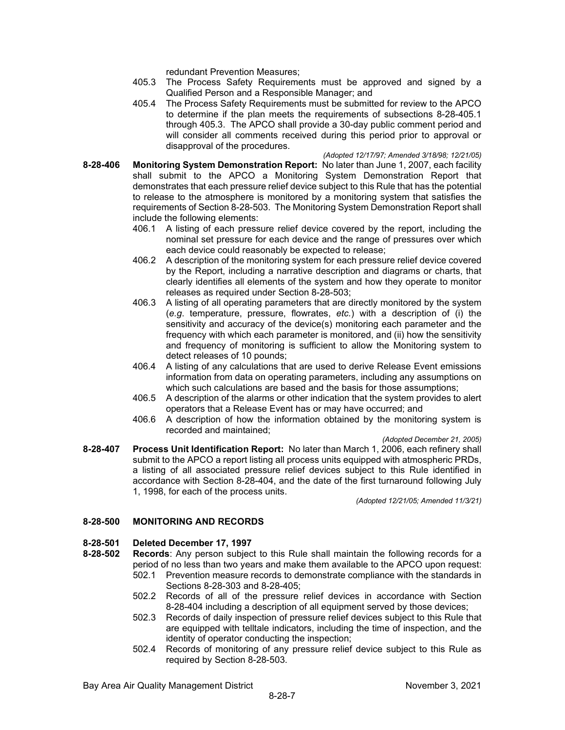redundant Prevention Measures;

- 405.3 The Process Safety Requirements must be approved and signed by a Qualified Person and a Responsible Manager; and
- 405.4 The Process Safety Requirements must be submitted for review to the APCO to determine if the plan meets the requirements of subsections 8-28-405.1 through 405.3. The APCO shall provide a 30-day public comment period and will consider all comments received during this period prior to approval or disapproval of the procedures.

*(Adopted 12/17/97; Amended 3/18/98; 12/21/05)*  **8-28-406 Monitoring System Demonstration Report:** No later than June 1, 2007, each facility shall submit to the APCO a Monitoring System Demonstration Report that demonstrates that each pressure relief device subject to this Rule that has the potential to release to the atmosphere is monitored by a monitoring system that satisfies the requirements of Section 8-28-503. The Monitoring System Demonstration Report shall include the following elements:

- 406.1 A listing of each pressure relief device covered by the report, including the nominal set pressure for each device and the range of pressures over which each device could reasonably be expected to release;
- 406.2 A description of the monitoring system for each pressure relief device covered by the Report, including a narrative description and diagrams or charts, that clearly identifies all elements of the system and how they operate to monitor releases as required under Section 8-28-503;
- 406.3 A listing of all operating parameters that are directly monitored by the system (*e.g*. temperature, pressure, flowrates, *etc.*) with a description of (i) the sensitivity and accuracy of the device(s) monitoring each parameter and the frequency with which each parameter is monitored, and (ii) how the sensitivity and frequency of monitoring is sufficient to allow the Monitoring system to detect releases of 10 pounds;
- 406.4 A listing of any calculations that are used to derive Release Event emissions information from data on operating parameters, including any assumptions on which such calculations are based and the basis for those assumptions;
- 406.5 A description of the alarms or other indication that the system provides to alert operators that a Release Event has or may have occurred; and
- 406.6 A description of how the information obtained by the monitoring system is recorded and maintained;

*(Adopted December 21, 2005)*

**8-28-407 Process Unit Identification Report:** No later than March 1, 2006, each refinery shall submit to the APCO a report listing all process units equipped with atmospheric PRDs, a listing of all associated pressure relief devices subject to this Rule identified in accordance with Section 8-28-404, and the date of the first turnaround following July 1, 1998, for each of the process units.

*(Adopted 12/21/05; Amended 11/3/21)*

## **8-28-500 MONITORING AND RECORDS**

# **8-28-501 Deleted December 17, 1997**

- **Records:** Any person subject to this Rule shall maintain the following records for a period of no less than two years and make them available to the APCO upon request: 502.1 Prevention measure records to demonstrate compliance with the standards in
	- Sections 8-28-303 and 8-28-405;
	- 502.2 Records of all of the pressure relief devices in accordance with Section 8-28-404 including a description of all equipment served by those devices;
	- 502.3 Records of daily inspection of pressure relief devices subject to this Rule that are equipped with telltale indicators, including the time of inspection, and the identity of operator conducting the inspection;
	- 502.4 Records of monitoring of any pressure relief device subject to this Rule as required by Section 8-28-503.